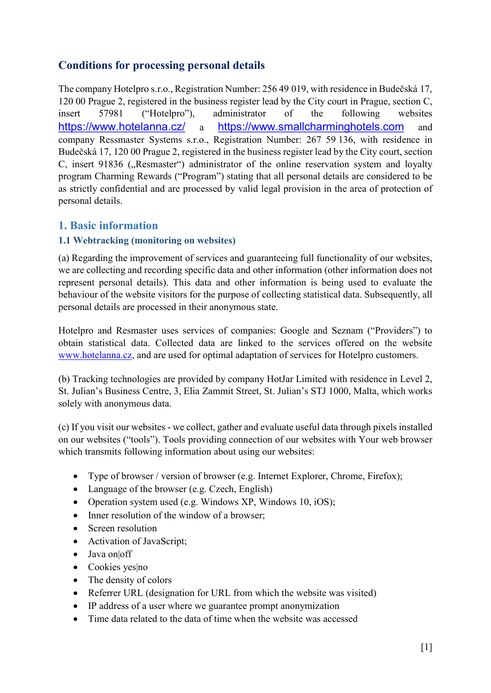# Conditions for processing personal details

The company Hotelpro s.r.o., Registration Number: 256 49 019, with residence in Budečská 17, 120 00 Prague 2, registered in the business register lead by the City court in Prague, section C, insert 57981 ("Hotelpro"), administrator of the following websites https://www.hotelanna.cz/ a https://www.smallcharminghotels.com and company Ressmaster Systems s.r.o., Registration Number: 267 59 136, with residence in Budečská 17, 120 00 Prague 2, registered in the business register lead by the City court, section C, insert 91836 ("Resmaster") administrator of the online reservation system and loyalty program Charming Rewards ("Program") stating that all personal details are considered to be as strictly confidential and are processed by valid legal provision in the area of protection of personal details.

# 1. Basic information

#### 1.1 Webtracking (monitoring on websites)

(a) Regarding the improvement of services and guaranteeing full functionality of our websites, we are collecting and recording specific data and other information (other information does not represent personal details). This data and other information is being used to evaluate the behaviour of the website visitors for the purpose of collecting statistical data. Subsequently, all personal details are processed in their anonymous state.

Hotelpro and Resmaster uses services of companies: Google and Seznam ("Providers") to obtain statistical data. Collected data are linked to the services offered on the website www.hotelanna.cz, and are used for optimal adaptation of services for Hotelpro customers.

(b) Tracking technologies are provided by company HotJar Limited with residence in Level 2, St. Julian's Business Centre, 3, Elia Zammit Street, St. Julian's STJ 1000, Malta, which works solely with anonymous data.

(c) If you visit our websites - we collect, gather and evaluate useful data through pixels installed on our websites ("tools"). Tools providing connection of our websites with Your web browser which transmits following information about using our websites:

- Type of browser / version of browser (e.g. Internet Explorer, Chrome, Firefox);
- Language of the browser (e.g. Czech, English)
- Operation system used (e.g. Windows XP, Windows 10, iOS);
- Inner resolution of the window of a browser;
- Screen resolution
- Activation of JavaScript;
- Java on off
- Cookies yes|no
- The density of colors
- Referrer URL (designation for URL from which the website was visited)
- IP address of a user where we guarantee prompt anonymization
- Time data related to the data of time when the website was accessed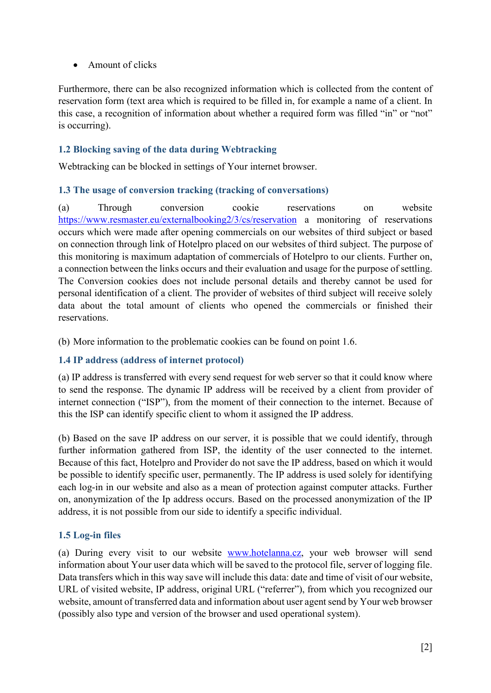### Amount of clicks

Furthermore, there can be also recognized information which is collected from the content of reservation form (text area which is required to be filled in, for example a name of a client. In this case, a recognition of information about whether a required form was filled "in" or "not" is occurring).

### 1.2 Blocking saving of the data during Webtracking

Webtracking can be blocked in settings of Your internet browser.

## 1.3 The usage of conversion tracking (tracking of conversations)

(a) Through conversion cookie reservations on website https://www.resmaster.eu/externalbooking2/3/cs/reservation a monitoring of reservations occurs which were made after opening commercials on our websites of third subject or based on connection through link of Hotelpro placed on our websites of third subject. The purpose of this monitoring is maximum adaptation of commercials of Hotelpro to our clients. Further on, a connection between the links occurs and their evaluation and usage for the purpose of settling. The Conversion cookies does not include personal details and thereby cannot be used for personal identification of a client. The provider of websites of third subject will receive solely data about the total amount of clients who opened the commercials or finished their reservations.

(b) More information to the problematic cookies can be found on point 1.6.

#### 1.4 IP address (address of internet protocol)

(a) IP address is transferred with every send request for web server so that it could know where to send the response. The dynamic IP address will be received by a client from provider of internet connection ("ISP"), from the moment of their connection to the internet. Because of this the ISP can identify specific client to whom it assigned the IP address.

(b) Based on the save IP address on our server, it is possible that we could identify, through further information gathered from ISP, the identity of the user connected to the internet. Because of this fact, Hotelpro and Provider do not save the IP address, based on which it would be possible to identify specific user, permanently. The IP address is used solely for identifying each log-in in our website and also as a mean of protection against computer attacks. Further on, anonymization of the Ip address occurs. Based on the processed anonymization of the IP address, it is not possible from our side to identify a specific individual.

## 1.5 Log-in files

(a) During every visit to our website www.hotelanna.cz, your web browser will send information about Your user data which will be saved to the protocol file, server of logging file. Data transfers which in this way save will include this data: date and time of visit of our website, URL of visited website, IP address, original URL ("referrer"), from which you recognized our website, amount of transferred data and information about user agent send by Your web browser (possibly also type and version of the browser and used operational system).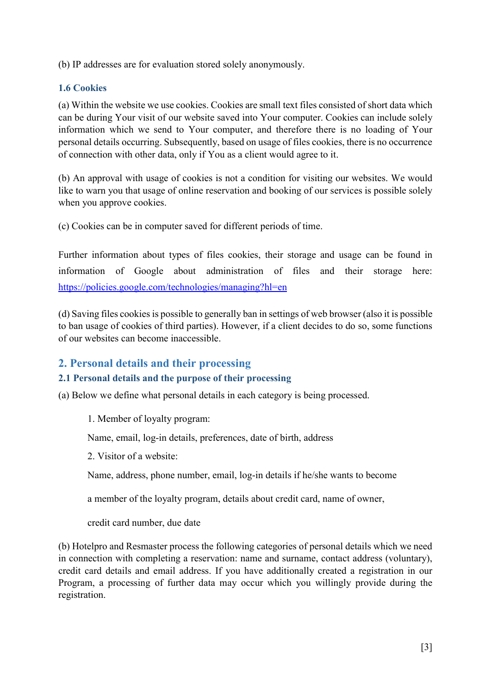(b) IP addresses are for evaluation stored solely anonymously.

### 1.6 Cookies

(a) Within the website we use cookies. Cookies are small text files consisted of short data which can be during Your visit of our website saved into Your computer. Cookies can include solely information which we send to Your computer, and therefore there is no loading of Your personal details occurring. Subsequently, based on usage of files cookies, there is no occurrence of connection with other data, only if You as a client would agree to it.

(b) An approval with usage of cookies is not a condition for visiting our websites. We would like to warn you that usage of online reservation and booking of our services is possible solely when you approve cookies.

(c) Cookies can be in computer saved for different periods of time.

Further information about types of files cookies, their storage and usage can be found in information of Google about administration of files and their storage here: https://policies.google.com/technologies/managing?hl=en

(d) Saving files cookies is possible to generally ban in settings of web browser (also it is possible to ban usage of cookies of third parties). However, if a client decides to do so, some functions of our websites can become inaccessible.

# 2. Personal details and their processing

## 2.1 Personal details and the purpose of their processing

(a) Below we define what personal details in each category is being processed.

1. Member of loyalty program:

Name, email, log-in details, preferences, date of birth, address

2. Visitor of a website:

Name, address, phone number, email, log-in details if he/she wants to become

a member of the loyalty program, details about credit card, name of owner,

credit card number, due date

(b) Hotelpro and Resmaster process the following categories of personal details which we need in connection with completing a reservation: name and surname, contact address (voluntary), credit card details and email address. If you have additionally created a registration in our Program, a processing of further data may occur which you willingly provide during the registration.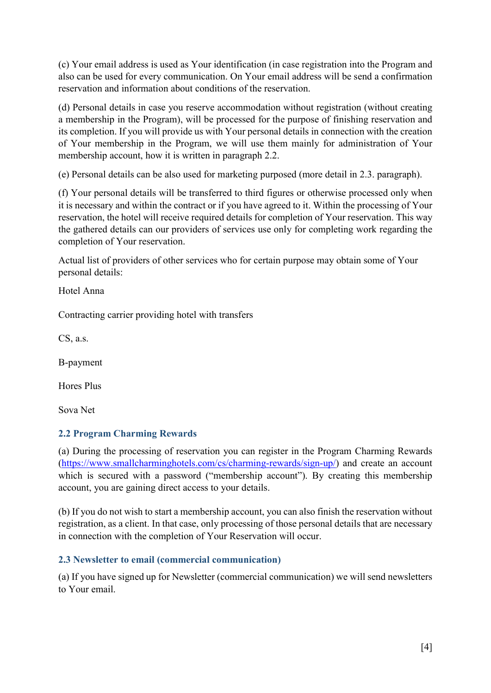(c) Your email address is used as Your identification (in case registration into the Program and also can be used for every communication. On Your email address will be send a confirmation reservation and information about conditions of the reservation.

(d) Personal details in case you reserve accommodation without registration (without creating a membership in the Program), will be processed for the purpose of finishing reservation and its completion. If you will provide us with Your personal details in connection with the creation of Your membership in the Program, we will use them mainly for administration of Your membership account, how it is written in paragraph 2.2.

(e) Personal details can be also used for marketing purposed (more detail in 2.3. paragraph).

(f) Your personal details will be transferred to third figures or otherwise processed only when it is necessary and within the contract or if you have agreed to it. Within the processing of Your reservation, the hotel will receive required details for completion of Your reservation. This way the gathered details can our providers of services use only for completing work regarding the completion of Your reservation.

Actual list of providers of other services who for certain purpose may obtain some of Your personal details:

Hotel Anna

Contracting carrier providing hotel with transfers

CS, a.s.

B-payment

Hores Plus

Sova Net

#### 2.2 Program Charming Rewards

(a) During the processing of reservation you can register in the Program Charming Rewards (https://www.smallcharminghotels.com/cs/charming-rewards/sign-up/) and create an account which is secured with a password ("membership account"). By creating this membership account, you are gaining direct access to your details.

(b) If you do not wish to start a membership account, you can also finish the reservation without registration, as a client. In that case, only processing of those personal details that are necessary in connection with the completion of Your Reservation will occur.

#### 2.3 Newsletter to email (commercial communication)

(a) If you have signed up for Newsletter (commercial communication) we will send newsletters to Your email.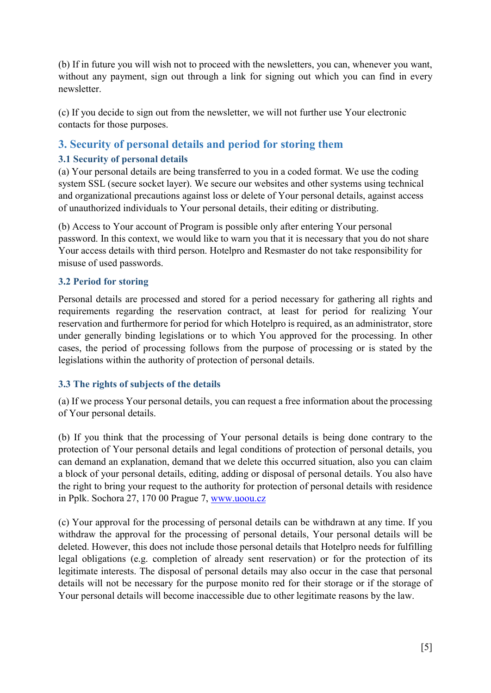(b) If in future you will wish not to proceed with the newsletters, you can, whenever you want, without any payment, sign out through a link for signing out which you can find in every newsletter.

(c) If you decide to sign out from the newsletter, we will not further use Your electronic contacts for those purposes.

# 3. Security of personal details and period for storing them

## 3.1 Security of personal details

(a) Your personal details are being transferred to you in a coded format. We use the coding system SSL (secure socket layer). We secure our websites and other systems using technical and organizational precautions against loss or delete of Your personal details, against access of unauthorized individuals to Your personal details, their editing or distributing.

(b) Access to Your account of Program is possible only after entering Your personal password. In this context, we would like to warn you that it is necessary that you do not share Your access details with third person. Hotelpro and Resmaster do not take responsibility for misuse of used passwords.

## 3.2 Period for storing

Personal details are processed and stored for a period necessary for gathering all rights and requirements regarding the reservation contract, at least for period for realizing Your reservation and furthermore for period for which Hotelpro is required, as an administrator, store under generally binding legislations or to which You approved for the processing. In other cases, the period of processing follows from the purpose of processing or is stated by the legislations within the authority of protection of personal details.

# 3.3 The rights of subjects of the details

(a) If we process Your personal details, you can request a free information about the processing of Your personal details.

(b) If you think that the processing of Your personal details is being done contrary to the protection of Your personal details and legal conditions of protection of personal details, you can demand an explanation, demand that we delete this occurred situation, also you can claim a block of your personal details, editing, adding or disposal of personal details. You also have the right to bring your request to the authority for protection of personal details with residence in Pplk. Sochora 27, 170 00 Prague 7, www.uoou.cz

(c) Your approval for the processing of personal details can be withdrawn at any time. If you withdraw the approval for the processing of personal details, Your personal details will be deleted. However, this does not include those personal details that Hotelpro needs for fulfilling legal obligations (e.g. completion of already sent reservation) or for the protection of its legitimate interests. The disposal of personal details may also occur in the case that personal details will not be necessary for the purpose monito red for their storage or if the storage of Your personal details will become inaccessible due to other legitimate reasons by the law.